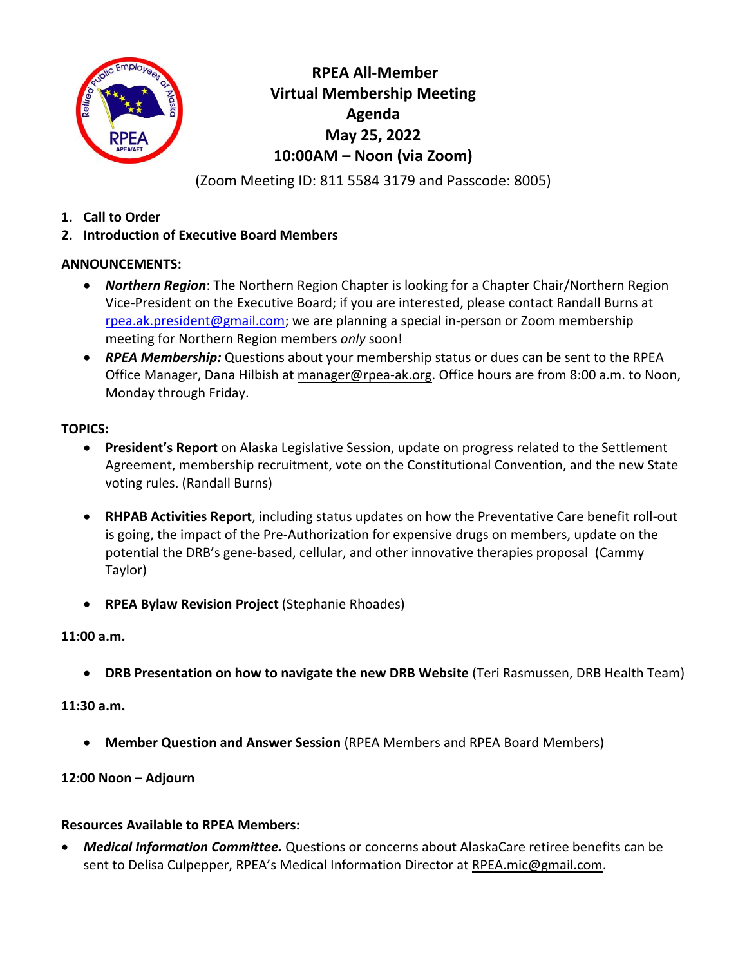

**RPEA All-Member Virtual Membership Meeting Agenda May 25, 2022 10:00AM – Noon (via Zoom)**

(Zoom Meeting ID: 811 5584 3179 and Passcode: 8005)

- **1. Call to Order**
- **2. Introduction of Executive Board Members**

## **ANNOUNCEMENTS:**

- *Northern Region*: The Northern Region Chapter is looking for a Chapter Chair/Northern Region Vice-President on the Executive Board; if you are interested, please contact Randall Burns at rpea.ak.president@gmail.com; we are planning a special in-person or Zoom membership meeting for Northern Region members *only* soon!
- *RPEA Membership:* Questions about your membership status or dues can be sent to the RPEA Office Manager, Dana Hilbish at manager@rpea-ak.org. Office hours are from 8:00 a.m. to Noon, Monday through Friday.

## **TOPICS:**

- **President's Report** on Alaska Legislative Session, update on progress related to the Settlement Agreement, membership recruitment, vote on the Constitutional Convention, and the new State voting rules. (Randall Burns)
- **RHPAB Activities Report**, including status updates on how the Preventative Care benefit roll-out is going, the impact of the Pre-Authorization for expensive drugs on members, update on the potential the DRB's gene-based, cellular, and other innovative therapies proposal (Cammy Taylor)
- **RPEA Bylaw Revision Project** (Stephanie Rhoades)

# **11:00 a.m.**

• **DRB Presentation on how to navigate the new DRB Website** (Teri Rasmussen, DRB Health Team)

#### **11:30 a.m.**

• **Member Question and Answer Session** (RPEA Members and RPEA Board Members)

# **12:00 Noon – Adjourn**

#### **Resources Available to RPEA Members:**

• *Medical Information Committee.* Questions or concerns about AlaskaCare retiree benefits can be sent to Delisa Culpepper, RPEA's Medical Information Director at RPEA.mic@gmail.com.